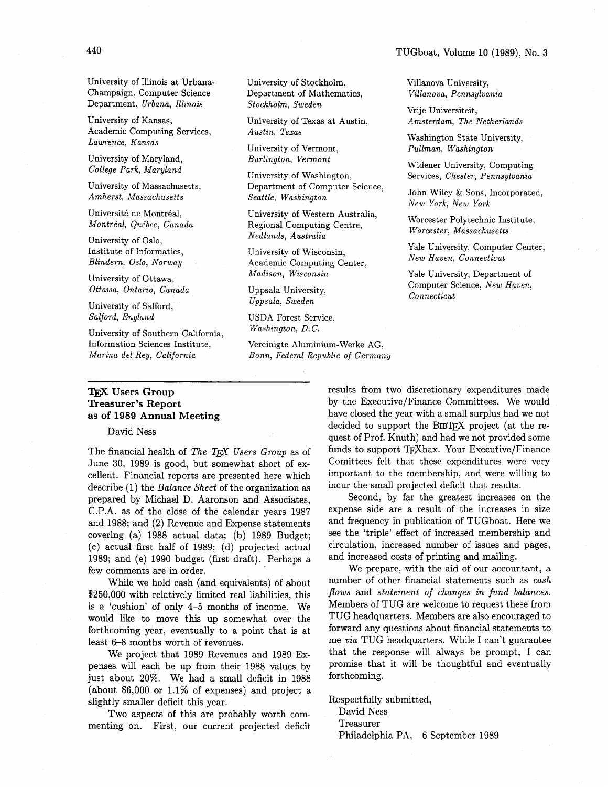University of Illinois at Urbana-Champaign, Computer Science Department, Urbana, Illinois

University of Kansas, Academic Computing Services, Lawrence, Kansas

University of Maryland, College Park, Maryland

University of Massachusetts, Amherst, Massachusetts

Université de Montréal, Montréal, Québec, Canada

University of Oslo, Institute of Informatics, Blindern, Oslo, Norway

University of Ottawa, Ottawa, Ontario, Canada

University of Salford, Salford, England

University of Southern California, Information Sciences Institute, Marina del Rey, California

#### TEX Users Group Treasurer's Report as of 1989 Annual Meeting

David Ness

The financial health of *The Users Group* as of June 30, 1989 is good, but somewhat short of excellent. Financial reports are presented here which describe (1) the *Balance Sheet* of the organization as prepared by Michael D. Aaronson and Associates, C.P.A. as of the close of the calendar years 1987 and 1988; and (2) Revenue and Expense statements covering (a) 1988 actual data; (b) 1989 Budget; (c) actual first half of 1989; (d) projected actual 1989; and (e) 1990 budget (first draft). Perhaps a few comments are in order.

While we hold cash (and equivalents) of about \$250,000 with relatively limited real liabilities, this is a 'cushion' of only 4-5 months of income. We would like to move this up somewhat over the forthcoming year, eventually to a point that is at least 6-8 months worth of revenues.

We project that 1989 Revenues and 1989 Expenses will each be up from their 1988 values by just about 20%. We had a small deficit in 1988 (about \$6,000 or 1.1% of expenses) and project a slightly smaller deficit this year.

Two aspects of this are probably worth commenting on. First, our current projected deficit

University of Stockholm, Department of Mathematics, Stockholm, Sweden

University of Texas at Austin, Austin, Texas

University of Vermont, Burlington, Vermont

University of Washington, Department of Computer Science, Seattle, Washington

University of Western Australia, Regional Computing Centre, Nedlands, Australia

University of Wisconsin, Academic Computing Center, Madison, Wisconsin

Uppsala University, Uppsala, Sweden

USDA Forest Service, Washington, D.C.

Vereinigte Aluminium-Werke AG, Bonn, Federal Republic of Germany Amsterdam, The Netherlands Washington State University, Pullman, Washington

Villanova University, Villanova, Pennsylvania

Vrije Universiteit,

Widener University, Computing Services, Chester, Pennsylvania

John Wiley & Sons, Incorporated, New York, New York

Worcester Polytechnic Institute, Worcester, Massachusetts

Yale University, Computer Center, New Haven, Connecticut

Yale University, Department of Computer Science, New Haven, Connecticut

results from two discretionary expenditures made by the Executive/Finance Committees. We would have closed the year with a small surplus had we not decided to support the BIBTFX project (at the request of Prof. Knuth) and had we not provided some funds to support TFXhax. Your Executive/Finance Comittees felt that these expenditures were very important to the membership, and were willing to incur the small projected deficit that results.

Second, by far the greatest increases on the expense side are a result of the increases in size and frequency in publication of TUGboat. Here we see the 'triple' effect of increased membership and circulation, increased number of issues and pages, and increased costs of printing and mailing.

We prepare, with the aid of our accountant, a number of other financial statements such as *cash flows* and *statement of changes in fund balances.*  Members of TUG are welcome to request these from TUG headquarters. Members are also encouraged to forward any questions about financial statements to me *via* TUG headquarters. While I can't guarantee that the response will always be prompt, I can promise that it will be thoughtful and eventually forthcoming.

Respectfully submitted,

David Ness

Treasurer

Philadelphia PA, 6 September 1989

#### TUGboat, Volume 10 (1989), No. 3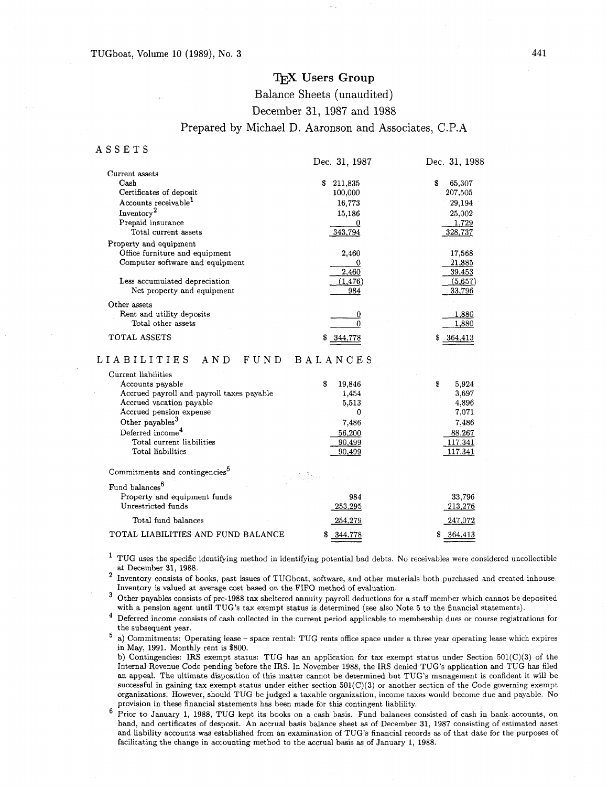## TEX Users Group

Balance Sheets (unaudited)

December 31, 1987 and 1988

### Prepared by Michael D. Aaronson and Associates, C.P.A

#### ASSETS

|                                  | Dec. 31, 1987 | Dec. 31, 1988 |
|----------------------------------|---------------|---------------|
| Current assets                   |               |               |
| Cash                             | 211,835<br>S. | S<br>65,307   |
| Certificates of deposit          | 100,000       | 207,505       |
| Accounts receivable <sup>1</sup> | 16,773        | 29.194        |
| Inventory <sup>2</sup>           | 15,186        | 25,002        |
| Prepaid insurance                |               | 1,729         |
| Total current assets             | 343,794       | 328,737       |
| Property and equipment           |               |               |
| Office furniture and equipment   | 2,460         | 17,568        |
| Computer software and equipment  |               | 21,885        |
|                                  | 2,460         | 39,453        |
| Less accumulated depreciation    | (1,476)       | (5,657)       |
| Net property and equipment       | 984           | 33,796        |
| Other assets                     |               |               |
| Rent and utility deposits        |               | 1,880         |
| Total other assets               |               | 1,880         |
| TOTAL ASSETS                     | 344,778       | 364.413<br>S  |

#### LIABILITIES AND FUND BALANCES

| Current liabilities                        |              |             |
|--------------------------------------------|--------------|-------------|
| Accounts payable                           | \$<br>19,846 | \$<br>5,924 |
| Accrued payroll and payroll taxes payable  | 1,454        | 3.697       |
| Accrued vacation payable                   | 5,513        | 4,896       |
| Accrued pension expense                    | 0            | 7,071       |
| Other payables <sup>3</sup>                | 7,486        | 7,486       |
| Deferred income <sup>4</sup>               | 56,200       | 88.267      |
| Total current liabilities                  | 90,499       | 117,341     |
| Total liabilities                          | 90,499       | 117,341     |
| Commitments and contingencies <sup>5</sup> |              |             |
| Fund balances <sup>6</sup>                 |              |             |
| Property and equipment funds               | 984          | 33,796      |
| Unrestricted funds                         | 253,295      | 213,276     |
| Total fund balances                        | 254.279      | 247,072     |
| TOTAL LIABILITIES AND FUND BALANCE         | 344,778      | 364,413     |

 $^{\rm 1}$  TUG uses the specific identifying method in identifying potential bad debts. No receivables were considered uncollectible at December 31. 1988.

Inventory consists of books, past issues of TUGboat, software, and other materials both purchased and created inhouse. Inventory is valued at average cost based on the FIFO method of evaluation.

Other payables consists of pre-1988 tax sheltered annuity payroll deductions for a staff member which cannot be deposited with a pension agent until TUG's tax exempt status is determined (see also Note 5 to the financial statements).

<sup>4</sup> Deferred income consists of cash collected in the current period applicable to membership dues or course registrations for the subsequent year.

a) Commitments: Operating lease - space rental: TUG rents office space under a three year operating lease which expires in May, 1991. Monthly rent is \$800.

b) Contingencies: IRS exempt status: TUG has an application for tax exempt status under Section 501(C)(3) of the Internal Revenue Code pending before the IRS. In November 1988, the IRS denied TUG's application and TUG has filed an appeal. The ultimate disposition of this matter cannot be determined but TUG's management is confident it will be successful in gaining tax exempt status under either section  $501(C)(3)$  or another section of the Code governing exempt organizations. However, should TUG be judged a taxable organization, income taxes would become due and payable. No provision in these financial statements has been made for this contingent liablility.

6 Prior to January 1, 1988, TUG kept its books on a cash basis. Fund balances consisted of cash in bank accounts, on hand, and certificates of desposit. An accrual basis balance sheet as of December 31, 1987 consisting of estimated asset and liability accounts was established from an examination of TUG's financial records as of that date for the purposes of facilitating the change in accounting method to the accrual basis as of January 1, 1988.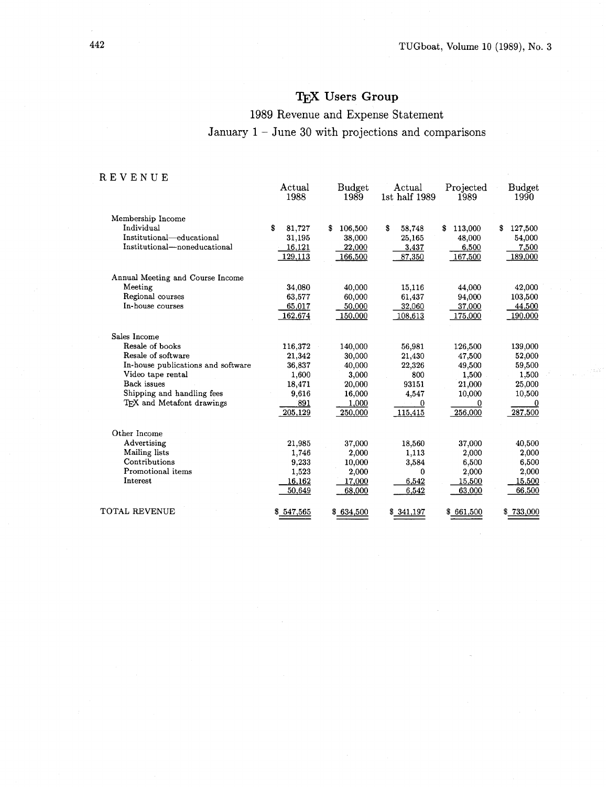# **Users Group**

# 1989 Revenue and Expense Statement January  $1 -$  June 30 with projections and comparisons

## REVENUE

|                                    | Actual<br>1988 | <b>Budget</b><br>1989 | Actual<br>1st half 1989 | Projected<br>1989 | <b>Budget</b><br>1990 |
|------------------------------------|----------------|-----------------------|-------------------------|-------------------|-----------------------|
| Membership Income                  |                |                       |                         |                   |                       |
| Individual                         | S<br>81,727    | \$<br>106,500         | S<br>58,748             | 113,000<br>\$     | 127,500<br>s          |
| Institutional-educational          | 31,195         | 38,000                | 25,165                  | 48,000            | 54,000                |
| Institutional—noneducational       | 16,121         | 22,000                | 3,437                   | 6,500             | 7,500                 |
|                                    | 129,113        | 166,500               | 87,350                  | 167,500           | 189,000               |
| Annual Meeting and Course Income   |                |                       |                         |                   |                       |
| Meeting                            | 34,080         | 40,000                | 15,116                  | 44,000            | 42,000                |
| Regional courses                   | 63,577         | 60,000                | 61,437                  | 94,000            | 103,500               |
| In-house courses                   | 65,017         | 50,000                | 32,060                  | 37,000            | 44,500                |
|                                    | 162,674        | 150,000               | 108,613                 | 175,000           | 190,000               |
| Sales Income                       |                |                       |                         |                   |                       |
| Resale of books                    | 116,372        | 140,000               | 56,981                  | 126,500           | 139,000               |
| Resale of software                 | 21,342         | 30,000                | 21,430                  | 47,500            | 52,000                |
| In-house publications and software | 36,837         | 40,000                | 22,326                  | 49,500            | 59,500                |
| Video tape rental                  | 1,600          | 3,000                 | 800                     | 1,500             | 1,500                 |
| Back issues                        | 18,471         | 20,000                | 93151                   | 21,000            | 25,000                |
| Shipping and handling fees         | 9,616          | 16,000                | 4,547                   | 10,000            | 10,500                |
| TFX and Metafont drawings          | 891            | 1,000                 | $\bf{0}$                | 0                 | $\bf{0}$              |
|                                    | 205,129        | 250,000               | 115,415                 | 256,000           | 287,500               |
| Other Income                       |                |                       |                         |                   |                       |
| Advertising                        | 21,985         | 37,000                | 18,560                  | 37,000            | 40,500                |
| Mailing lists                      | 1,746          | 2,000                 | 1,113                   | 2,000             | 2,000                 |
| Contributions                      | 9,233          | 10,000                | 3,584                   | 6,500             | 6,500                 |
| Promotional items                  | 1,523          | 2,000                 | 0                       | 2,000             | 2,000                 |
| Interest                           | 16,162         | 17,000                | 6,542                   | 15,500            | 15,500                |
|                                    | 50,649         | 68,000                | 6,542                   | 63,000            | 66,500                |
| TOTAL REVENUE                      | \$547,565      | \$634,500             | \$341,197               | \$661,500         | \$733,000             |

 $\bar{\tau}$